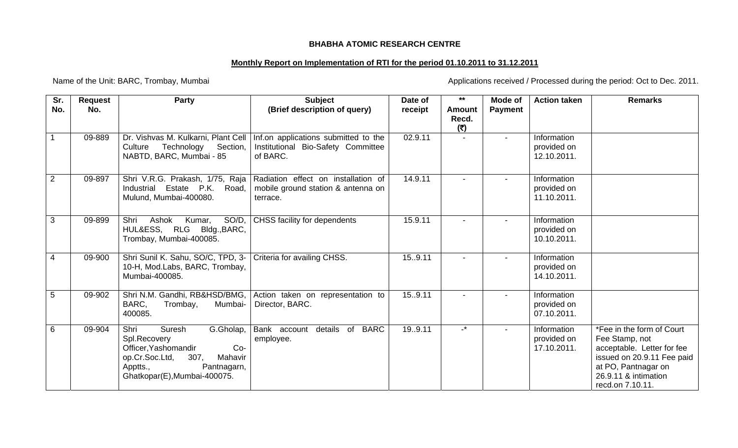## **BHABHA ATOMIC RESEARCH CENTRE**

## **Monthly Report on Implementation of RTI for the period 01.10.2011 to 31.12.2011**

Name of the Unit: BARC, Trombay, Mumbai <br>
Applications received / Processed during the period: Oct to Dec. 2011.

| Sr.<br>No.     | <b>Request</b><br>No. | <b>Party</b>                                                                                                                                                               | <b>Subject</b><br>(Brief description of query)                                         | Date of<br>receipt | $**$<br><b>Amount</b> | Mode of<br><b>Payment</b> | <b>Action taken</b>                       | <b>Remarks</b>                                                                                                                                                             |
|----------------|-----------------------|----------------------------------------------------------------------------------------------------------------------------------------------------------------------------|----------------------------------------------------------------------------------------|--------------------|-----------------------|---------------------------|-------------------------------------------|----------------------------------------------------------------------------------------------------------------------------------------------------------------------------|
|                |                       |                                                                                                                                                                            |                                                                                        |                    | Recd.<br>(5)          |                           |                                           |                                                                                                                                                                            |
|                | 09-889                | Dr. Vishvas M. Kulkarni, Plant Cell<br>Technology<br>Section,<br>Culture<br>NABTD, BARC, Mumbai - 85                                                                       | Inf.on applications submitted to the<br>Institutional Bio-Safety Committee<br>of BARC. | 02.9.11            |                       | $\blacksquare$            | Information<br>provided on<br>12.10.2011. |                                                                                                                                                                            |
| $\overline{2}$ | 09-897                | Shri V.R.G. Prakash, 1/75, Raja<br>Industrial Estate P.K. Road,<br>Mulund, Mumbai-400080.                                                                                  | Radiation effect on installation of<br>mobile ground station & antenna on<br>terrace.  | 14.9.11            |                       |                           | Information<br>provided on<br>11.10.2011. |                                                                                                                                                                            |
| 3              | 09-899                | SO/D,<br>Shri<br>Ashok<br>Kumar,<br>HUL&ESS, RLG Bldg., BARC,<br>Trombay, Mumbai-400085.                                                                                   | CHSS facility for dependents                                                           | 15.9.11            |                       |                           | Information<br>provided on<br>10.10.2011. |                                                                                                                                                                            |
| $\overline{4}$ | 09-900                | Shri Sunil K. Sahu, SO/C, TPD, 3-<br>10-H, Mod.Labs, BARC, Trombay,<br>Mumbai-400085.                                                                                      | Criteria for availing CHSS.                                                            | 15.9.11            |                       |                           | Information<br>provided on<br>14.10.2011. |                                                                                                                                                                            |
| 5              | 09-902                | Shri N.M. Gandhi, RB&HSD/BMG,<br>BARC,<br>Mumbai-<br>Trombay,<br>400085.                                                                                                   | Action taken on representation to<br>Director, BARC.                                   | 15.9.11            |                       |                           | Information<br>provided on<br>07.10.2011. |                                                                                                                                                                            |
| 6              | 09-904                | Shri<br>Suresh<br>G.Gholap,<br>Spl.Recovery<br>Officer, Yashomandir<br>Co-<br>op.Cr.Soc.Ltd,<br>307,<br>Mahavir<br>Apptts.,<br>Pantnagarn,<br>Ghatkopar(E), Mumbai-400075. | details of BARC<br>Bank account<br>employee.                                           | 19.9.11            | $\mathbf{r}$          | $\overline{\phantom{a}}$  | Information<br>provided on<br>17.10.2011. | *Fee in the form of Court<br>Fee Stamp, not<br>acceptable. Letter for fee<br>issued on 20.9.11 Fee paid<br>at PO, Pantnagar on<br>26.9.11 & intimation<br>recd.on 7.10.11. |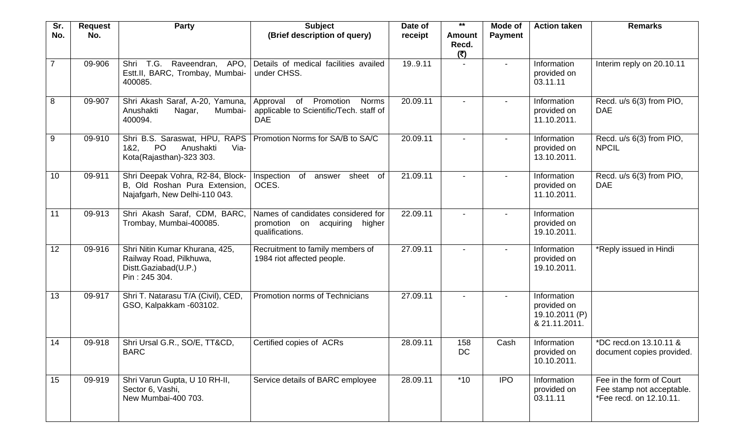| Sr.            | <b>Request</b> | <b>Party</b>                                                                                        | <b>Subject</b>                                                                                | Date of  | $***$                  | Mode of                  | <b>Action taken</b>                                           | <b>Remarks</b>                                                                   |
|----------------|----------------|-----------------------------------------------------------------------------------------------------|-----------------------------------------------------------------------------------------------|----------|------------------------|--------------------------|---------------------------------------------------------------|----------------------------------------------------------------------------------|
| No.            | No.            |                                                                                                     | (Brief description of query)                                                                  | receipt  | Amount<br>Recd.<br>(5) | <b>Payment</b>           |                                                               |                                                                                  |
| $\overline{7}$ | 09-906         | Shri T.G. Raveendran, APO,<br>Estt.II, BARC, Trombay, Mumbai-<br>400085.                            | Details of medical facilities availed<br>under CHSS.                                          | 19.9.11  |                        |                          | Information<br>provided on<br>03.11.11                        | Interim reply on 20.10.11                                                        |
| 8              | 09-907         | Shri Akash Saraf, A-20, Yamuna,<br>Anushakti<br>Nagar,<br>Mumbai-<br>400094.                        | Promotion<br>Approval<br>of<br>Norms<br>applicable to Scientific/Tech. staff of<br><b>DAE</b> | 20.09.11 |                        | $\overline{\phantom{a}}$ | Information<br>provided on<br>11.10.2011.                     | Recd. u/s 6(3) from PIO,<br><b>DAE</b>                                           |
| 9              | 09-910         | Shri B.S. Saraswat, HPU, RAPS<br><b>PO</b><br>Via-<br>182.<br>Anushakti<br>Kota(Rajasthan)-323 303. | Promotion Norms for SA/B to SA/C                                                              | 20.09.11 |                        |                          | Information<br>provided on<br>13.10.2011.                     | Recd. u/s 6(3) from PIO,<br><b>NPCIL</b>                                         |
| 10             | 09-911         | Shri Deepak Vohra, R2-84, Block-<br>B, Old Roshan Pura Extension,<br>Najafgarh, New Delhi-110 043.  | Inspection<br>of<br>sheet of<br>answer<br>OCES.                                               | 21.09.11 |                        |                          | Information<br>provided on<br>11.10.2011.                     | Recd. u/s 6(3) from PIO,<br><b>DAE</b>                                           |
| 11             | 09-913         | Shri Akash Saraf, CDM, BARC,<br>Trombay, Mumbai-400085.                                             | Names of candidates considered for<br>promotion on acquiring<br>higher<br>qualifications.     | 22.09.11 |                        |                          | Information<br>provided on<br>19.10.2011.                     |                                                                                  |
| 12             | 09-916         | Shri Nitin Kumar Khurana, 425,<br>Railway Road, Pilkhuwa,<br>Distt.Gaziabad(U.P.)<br>Pin: 245 304.  | Recruitment to family members of<br>1984 riot affected people.                                | 27.09.11 |                        |                          | Information<br>provided on<br>19.10.2011.                     | *Reply issued in Hindi                                                           |
| 13             | 09-917         | Shri T. Natarasu T/A (Civil), CED,<br>GSO, Kalpakkam -603102.                                       | Promotion norms of Technicians                                                                | 27.09.11 | $\blacksquare$         | $\overline{\phantom{a}}$ | Information<br>provided on<br>19.10.2011 (P)<br>& 21.11.2011. |                                                                                  |
| 14             | 09-918         | Shri Ursal G.R., SO/E, TT&CD,<br><b>BARC</b>                                                        | Certified copies of ACRs                                                                      | 28.09.11 | 158<br>DC              | Cash                     | Information<br>provided on<br>10.10.2011.                     | *DC recd.on 13.10.11 &<br>document copies provided.                              |
| 15             | 09-919         | Shri Varun Gupta, U 10 RH-II,<br>Sector 6, Vashi,<br>New Mumbai-400 703.                            | Service details of BARC employee                                                              | 28.09.11 | $*10$                  | <b>IPO</b>               | Information<br>provided on<br>03.11.11                        | Fee in the form of Court<br>Fee stamp not acceptable.<br>*Fee recd. on 12.10.11. |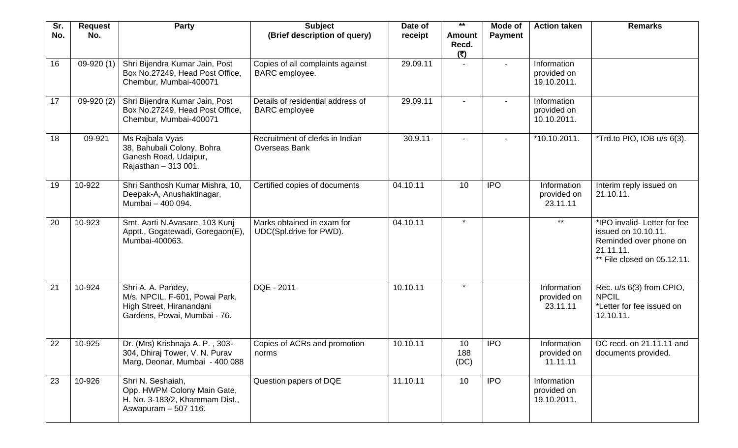| Sr.<br>No.      | <b>Request</b><br>No. | <b>Party</b>                                                                                                     | <b>Subject</b><br>(Brief description of query)            | Date of<br>receipt | $***$<br><b>Amount</b> | Mode of<br><b>Payment</b> | <b>Action taken</b>                       | <b>Remarks</b>                                                                                                            |
|-----------------|-----------------------|------------------------------------------------------------------------------------------------------------------|-----------------------------------------------------------|--------------------|------------------------|---------------------------|-------------------------------------------|---------------------------------------------------------------------------------------------------------------------------|
|                 |                       |                                                                                                                  |                                                           |                    | Recd.<br>(5)           |                           |                                           |                                                                                                                           |
| 16              | $09-920(1)$           | Shri Bijendra Kumar Jain, Post<br>Box No.27249, Head Post Office,<br>Chembur, Mumbai-400071                      | Copies of all complaints against<br>BARC employee.        | 29.09.11           |                        |                           | Information<br>provided on<br>19.10.2011. |                                                                                                                           |
| 17              | $09-920(2)$           | Shri Bijendra Kumar Jain, Post<br>Box No.27249, Head Post Office,<br>Chembur, Mumbai-400071                      | Details of residential address of<br><b>BARC</b> employee | 29.09.11           |                        | $\overline{\phantom{a}}$  | Information<br>provided on<br>10.10.2011. |                                                                                                                           |
| 18              | 09-921                | Ms Rajbala Vyas<br>38, Bahubali Colony, Bohra<br>Ganesh Road, Udaipur,<br>Rajasthan - 313 001.                   | Recruitment of clerks in Indian<br><b>Overseas Bank</b>   | 30.9.11            |                        |                           | *10.10.2011.                              | *Trd.to PIO, IOB u/s 6(3).                                                                                                |
| 19              | 10-922                | Shri Santhosh Kumar Mishra, 10,<br>Deepak-A, Anushaktinagar,<br>Mumbai - 400 094.                                | Certified copies of documents                             | 04.10.11           | 10                     | <b>IPO</b>                | Information<br>provided on<br>23.11.11    | Interim reply issued on<br>21.10.11.                                                                                      |
| 20              | 10-923                | Smt. Aarti N.Avasare, 103 Kunj<br>Apptt., Gogatewadi, Goregaon(E),<br>Mumbai-400063.                             | Marks obtained in exam for<br>UDC(Spl.drive for PWD).     | 04.10.11           | $\star$                |                           | $***$                                     | *IPO invalid- Letter for fee<br>issued on 10.10.11.<br>Reminded over phone on<br>21.11.11.<br>** File closed on 05.12.11. |
| $\overline{21}$ | 10-924                | Shri A. A. Pandey,<br>M/s. NPCIL, F-601, Powai Park,<br>High Street, Hiranandani<br>Gardens, Powai, Mumbai - 76. | DQE - 2011                                                | 10.10.11           | $\star$                |                           | Information<br>provided on<br>23.11.11    | Rec. u/s 6(3) from CPIO,<br><b>NPCIL</b><br>*Letter for fee issued on<br>12.10.11.                                        |
| 22              | 10-925                | Dr. (Mrs) Krishnaja A. P., 303-<br>304, Dhiraj Tower, V. N. Purav<br>Marg, Deonar, Mumbai - 400 088              | Copies of ACRs and promotion<br>norms                     | 10.10.11           | 10<br>188<br>(DC)      | <b>IPO</b>                | Information<br>provided on<br>11.11.11    | DC recd. on 21.11.11 and<br>documents provided.                                                                           |
| 23              | 10-926                | Shri N. Seshaiah,<br>Opp. HWPM Colony Main Gate,<br>H. No. 3-183/2, Khammam Dist.,<br>Aswapuram - 507 116.       | Question papers of DQE                                    | 11.10.11           | 10                     | <b>IPO</b>                | Information<br>provided on<br>19.10.2011. |                                                                                                                           |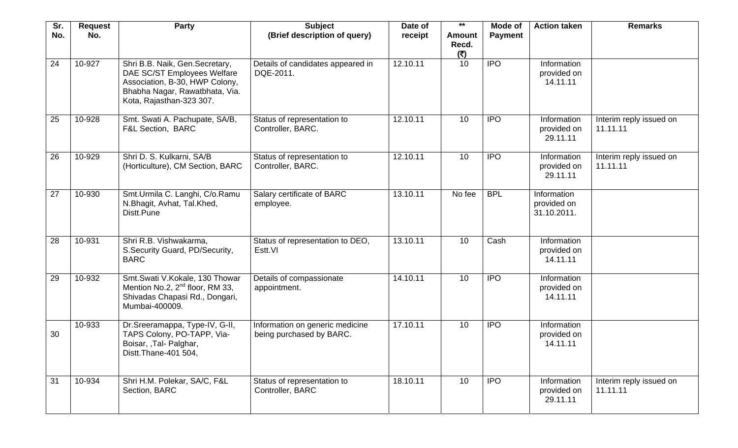| Sr.             | <b>Request</b> | <b>Party</b>                                                                                                                                                  | <b>Subject</b>                                              | Date of  | $***$                         | Mode of        | <b>Action taken</b>                       | <b>Remarks</b>                      |
|-----------------|----------------|---------------------------------------------------------------------------------------------------------------------------------------------------------------|-------------------------------------------------------------|----------|-------------------------------|----------------|-------------------------------------------|-------------------------------------|
| No.             | No.            |                                                                                                                                                               | (Brief description of query)                                | receipt  | <b>Amount</b><br>Recd.<br>(5) | <b>Payment</b> |                                           |                                     |
| 24              | 10-927         | Shri B.B. Naik, Gen.Secretary,<br>DAE SC/ST Employees Welfare<br>Association, B-30, HWP Colony,<br>Bhabha Nagar, Rawatbhata, Via.<br>Kota, Rajasthan-323 307. | Details of candidates appeared in<br>DQE-2011.              | 12.10.11 | 10                            | <b>IPO</b>     | Information<br>provided on<br>14.11.11    |                                     |
| 25              | 10-928         | Smt. Swati A. Pachupate, SA/B,<br>F&L Section, BARC                                                                                                           | Status of representation to<br>Controller, BARC.            | 12.10.11 | 10                            | <b>IPO</b>     | Information<br>provided on<br>29.11.11    | Interim reply issued on<br>11.11.11 |
| 26              | 10-929         | Shri D. S. Kulkarni, SA/B<br>(Horticulture), CM Section, BARC                                                                                                 | Status of representation to<br>Controller, BARC.            | 12.10.11 | 10                            | <b>IPO</b>     | Information<br>provided on<br>29.11.11    | Interim reply issued on<br>11.11.11 |
| 27              | 10-930         | Smt.Urmila C. Langhi, C/o.Ramu<br>N.Bhagit, Avhat, Tal.Khed,<br>Distt.Pune                                                                                    | Salary certificate of BARC<br>employee.                     | 13.10.11 | No fee                        | <b>BPL</b>     | Information<br>provided on<br>31.10.2011. |                                     |
| 28              | 10-931         | Shri R.B. Vishwakarma,<br>S.Security Guard, PD/Security,<br><b>BARC</b>                                                                                       | Status of representation to DEO,<br>Estt.VI                 | 13.10.11 | 10                            | Cash           | Information<br>provided on<br>14.11.11    |                                     |
| 29              | 10-932         | Smt.Swati V.Kokale, 130 Thowar<br>Mention No.2, 2 <sup>nd</sup> floor, RM 33,<br>Shivadas Chapasi Rd., Dongari,<br>Mumbai-400009.                             | Details of compassionate<br>appointment.                    | 14.10.11 | 10                            | <b>IPO</b>     | Information<br>provided on<br>14.11.11    |                                     |
| 30              | 10-933         | Dr.Sreeramappa, Type-IV, G-II,<br>TAPS Colony, PO-TAPP, Via-<br>Boisar, ,Tal- Palghar,<br>Distt.Thane-401 504,                                                | Information on generic medicine<br>being purchased by BARC. | 17.10.11 | 10                            | <b>IPO</b>     | Information<br>provided on<br>14.11.11    |                                     |
| $\overline{31}$ | 10-934         | Shri H.M. Polekar, SA/C, F&L<br>Section, BARC                                                                                                                 | Status of representation to<br>Controller, BARC             | 18.10.11 | 10                            | <b>IPO</b>     | Information<br>provided on<br>29.11.11    | Interim reply issued on<br>11.11.11 |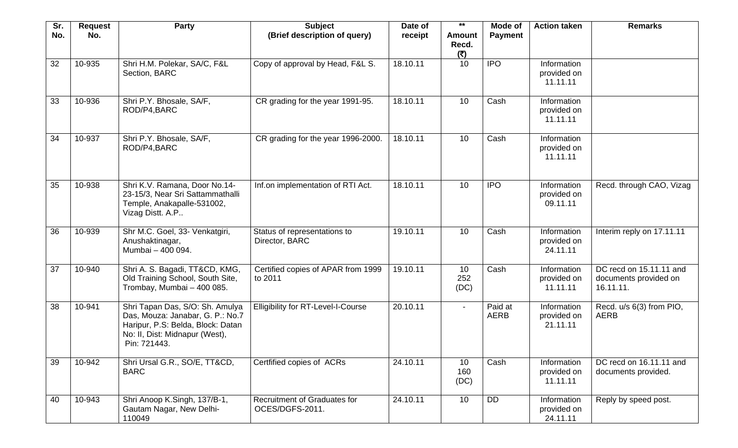| Sr. | <b>Request</b> | Party                                                                                                                                                      | <b>Subject</b>                                  | Date of  | $***$                         | Mode of                | <b>Action taken</b>                    | <b>Remarks</b>                                                |
|-----|----------------|------------------------------------------------------------------------------------------------------------------------------------------------------------|-------------------------------------------------|----------|-------------------------------|------------------------|----------------------------------------|---------------------------------------------------------------|
| No. | No.            |                                                                                                                                                            | (Brief description of query)                    | receipt  | <b>Amount</b><br>Recd.<br>(5) | <b>Payment</b>         |                                        |                                                               |
| 32  | 10-935         | Shri H.M. Polekar, SA/C, F&L<br>Section, BARC                                                                                                              | Copy of approval by Head, F&L S.                | 18.10.11 | 10                            | <b>IPO</b>             | Information<br>provided on<br>11.11.11 |                                                               |
| 33  | 10-936         | Shri P.Y. Bhosale, SA/F,<br>ROD/P4, BARC                                                                                                                   | CR grading for the year 1991-95.                | 18.10.11 | 10                            | Cash                   | Information<br>provided on<br>11.11.11 |                                                               |
| 34  | 10-937         | Shri P.Y. Bhosale, SA/F,<br>ROD/P4,BARC                                                                                                                    | CR grading for the year 1996-2000.              | 18.10.11 | 10                            | Cash                   | Information<br>provided on<br>11.11.11 |                                                               |
| 35  | 10-938         | Shri K.V. Ramana, Door No.14-<br>23-15/3, Near Sri Sattammathalli<br>Temple, Anakapalle-531002,<br>Vizag Distt. A.P                                        | Inf.on implementation of RTI Act.               | 18.10.11 | 10                            | <b>IPO</b>             | Information<br>provided on<br>09.11.11 | Recd. through CAO, Vizag                                      |
| 36  | 10-939         | Shr M.C. Goel, 33- Venkatgiri,<br>Anushaktinagar,<br>Mumbai - 400 094.                                                                                     | Status of representations to<br>Director, BARC  | 19.10.11 | 10                            | Cash                   | Information<br>provided on<br>24.11.11 | Interim reply on 17.11.11                                     |
| 37  | 10-940         | Shri A. S. Bagadi, TT&CD, KMG,<br>Old Training School, South Site,<br>Trombay, Mumbai - 400 085.                                                           | Certified copies of APAR from 1999<br>to 2011   | 19.10.11 | 10<br>252<br>(DC)             | Cash                   | Information<br>provided on<br>11.11.11 | DC recd on 15.11.11 and<br>documents provided on<br>16.11.11. |
| 38  | 10-941         | Shri Tapan Das, S/O: Sh. Amulya<br>Das, Mouza: Janabar, G. P.: No.7<br>Haripur, P.S: Belda, Block: Datan<br>No: II, Dist: Midnapur (West),<br>Pin: 721443. | <b>Elligibility for RT-Level-I-Course</b>       | 20.10.11 | $\sim$                        | Paid at<br><b>AERB</b> | Information<br>provided on<br>21.11.11 | Recd. u/s 6(3) from PIO,<br><b>AERB</b>                       |
| 39  | 10-942         | Shri Ursal G.R., SO/E, TT&CD,<br><b>BARC</b>                                                                                                               | Certfified copies of ACRs                       | 24.10.11 | 10<br>160<br>(DC)             | Cash                   | Information<br>provided on<br>11.11.11 | DC recd on 16.11.11 and<br>documents provided.                |
| 40  | 10-943         | Shri Anoop K.Singh, 137/B-1,<br>Gautam Nagar, New Delhi-<br>110049                                                                                         | Recruitment of Graduates for<br>OCES/DGFS-2011. | 24.10.11 | 10                            | <b>DD</b>              | Information<br>provided on<br>24.11.11 | Reply by speed post.                                          |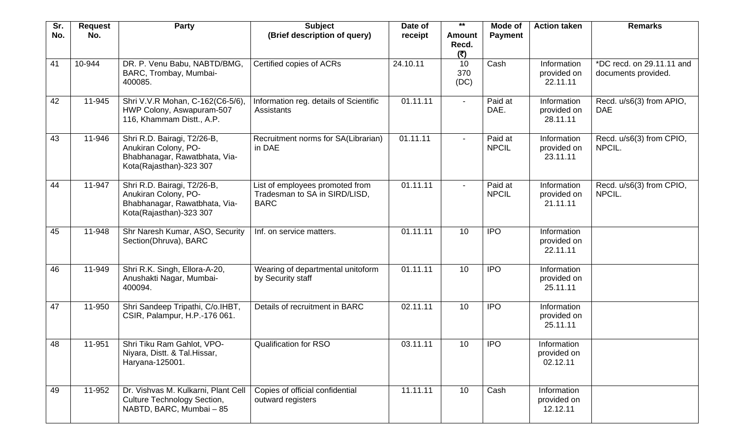| Sr. | <b>Request</b> | <b>Party</b>                                                                                                    | <b>Subject</b>                                                                  | Date of  | $***$                         | Mode of                 | <b>Action taken</b>                    | <b>Remarks</b>                                   |
|-----|----------------|-----------------------------------------------------------------------------------------------------------------|---------------------------------------------------------------------------------|----------|-------------------------------|-------------------------|----------------------------------------|--------------------------------------------------|
| No. | No.            |                                                                                                                 | (Brief description of query)                                                    | receipt  | <b>Amount</b><br>Recd.<br>(5) | <b>Payment</b>          |                                        |                                                  |
| 41  | 10-944         | DR. P. Venu Babu, NABTD/BMG,<br>BARC, Trombay, Mumbai-<br>400085.                                               | Certified copies of ACRs                                                        | 24.10.11 | 10<br>370<br>(DC)             | Cash                    | Information<br>provided on<br>22.11.11 | *DC recd. on 29.11.11 and<br>documents provided. |
| 42  | 11-945         | Shri V.V.R Mohan, C-162(C6-5/6),<br>HWP Colony, Aswapuram-507<br>116, Khammam Distt., A.P.                      | Information reg. details of Scientific<br>Assistants                            | 01.11.11 | $\sim$                        | Paid at<br>DAE.         | Information<br>provided on<br>28.11.11 | Recd. u/s6(3) from APIO,<br><b>DAE</b>           |
| 43  | 11-946         | Shri R.D. Bairagi, T2/26-B,<br>Anukiran Colony, PO-<br>Bhabhanagar, Rawatbhata, Via-<br>Kota(Rajasthan)-323 307 | Recruitment norms for SA(Librarian)<br>in DAE                                   | 01.11.11 | $\sim$                        | Paid at<br><b>NPCIL</b> | Information<br>provided on<br>23.11.11 | Recd. u/s6(3) from CPIO,<br>NPCIL.               |
| 44  | 11-947         | Shri R.D. Bairagi, T2/26-B,<br>Anukiran Colony, PO-<br>Bhabhanagar, Rawatbhata, Via-<br>Kota(Rajasthan)-323 307 | List of employees promoted from<br>Tradesman to SA in SIRD/LISD,<br><b>BARC</b> | 01.11.11 | $\blacksquare$                | Paid at<br><b>NPCIL</b> | Information<br>provided on<br>21.11.11 | Recd. u/s6(3) from CPIO,<br>NPCIL.               |
| 45  | 11-948         | Shr Naresh Kumar, ASO, Security<br>Section(Dhruva), BARC                                                        | Inf. on service matters.                                                        | 01.11.11 | 10                            | <b>IPO</b>              | Information<br>provided on<br>22.11.11 |                                                  |
| 46  | 11-949         | Shri R.K. Singh, Ellora-A-20,<br>Anushakti Nagar, Mumbai-<br>400094.                                            | Wearing of departmental unitoform<br>by Security staff                          | 01.11.11 | 10                            | <b>IPO</b>              | Information<br>provided on<br>25.11.11 |                                                  |
| 47  | 11-950         | Shri Sandeep Tripathi, C/o.IHBT,<br>CSIR, Palampur, H.P.-176 061.                                               | Details of recruitment in BARC                                                  | 02.11.11 | 10                            | <b>IPO</b>              | Information<br>provided on<br>25.11.11 |                                                  |
| 48  | 11-951         | Shri Tiku Ram Gahlot, VPO-<br>Niyara, Distt. & Tal. Hissar,<br>Haryana-125001.                                  | <b>Qualification for RSO</b>                                                    | 03.11.11 | 10                            | <b>IPO</b>              | Information<br>provided on<br>02.12.11 |                                                  |
| 49  | 11-952         | Dr. Vishvas M. Kulkarni, Plant Cell<br><b>Culture Technology Section,</b><br>NABTD, BARC, Mumbai - 85           | Copies of official confidential<br>outward registers                            | 11.11.11 | 10                            | Cash                    | Information<br>provided on<br>12.12.11 |                                                  |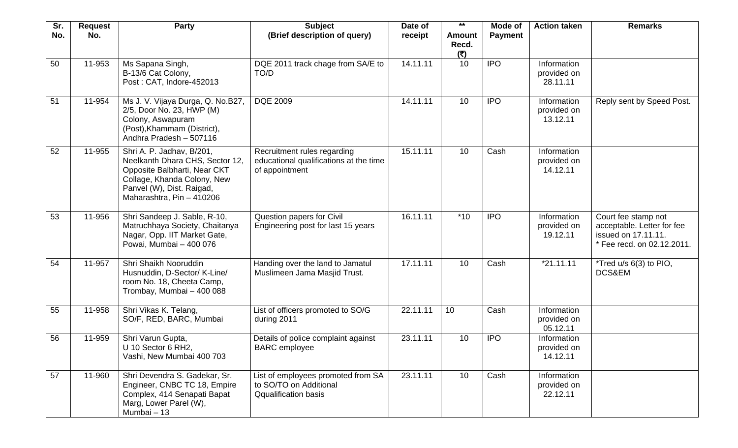| Sr.<br>No. | <b>Request</b><br>No. | <b>Party</b>                                                                                                                                                                          | <b>Subject</b><br>(Brief description of query)                                              | Date of<br>receipt | $***$<br><b>Amount</b> | Mode of<br><b>Payment</b> | <b>Action taken</b>                    | <b>Remarks</b>                                                                                         |
|------------|-----------------------|---------------------------------------------------------------------------------------------------------------------------------------------------------------------------------------|---------------------------------------------------------------------------------------------|--------------------|------------------------|---------------------------|----------------------------------------|--------------------------------------------------------------------------------------------------------|
|            |                       |                                                                                                                                                                                       |                                                                                             |                    | Recd.<br>(5)           |                           |                                        |                                                                                                        |
| 50         | 11-953                | Ms Sapana Singh,<br>B-13/6 Cat Colony,<br>Post: CAT, Indore-452013                                                                                                                    | DQE 2011 track chage from SA/E to<br>TO/D                                                   | 14.11.11           | 10                     | <b>IPO</b>                | Information<br>provided on<br>28.11.11 |                                                                                                        |
| 51         | 11-954                | Ms J. V. Vijaya Durga, Q. No.B27,<br>2/5, Door No. 23, HWP (M)<br>Colony, Aswapuram<br>(Post), Khammam (District),<br>Andhra Pradesh - 507116                                         | <b>DQE 2009</b>                                                                             | 14.11.11           | 10                     | <b>IPO</b>                | Information<br>provided on<br>13.12.11 | Reply sent by Speed Post.                                                                              |
| 52         | 11-955                | Shri A. P. Jadhav, B/201,<br>Neelkanth Dhara CHS, Sector 12,<br>Opposite Balbharti, Near CKT<br>Collage, Khanda Colony, New<br>Panvel (W), Dist. Raigad,<br>Maharashtra, Pin - 410206 | Recruitment rules regarding<br>educational qualifications at the time<br>of appointment     | 15.11.11           | 10                     | Cash                      | Information<br>provided on<br>14.12.11 |                                                                                                        |
| 53         | 11-956                | Shri Sandeep J. Sable, R-10,<br>Matruchhaya Society, Chaitanya<br>Nagar, Opp. IIT Market Gate,<br>Powai, Mumbai - 400 076                                                             | Question papers for Civil<br>Engineering post for last 15 years                             | 16.11.11           | $*10$                  | <b>IPO</b>                | Information<br>provided on<br>19.12.11 | Court fee stamp not<br>acceptable. Letter for fee<br>issued on 17.11.11.<br>* Fee recd. on 02.12.2011. |
| 54         | 11-957                | Shri Shaikh Nooruddin<br>Husnuddin, D-Sector/ K-Line/<br>room No. 18, Cheeta Camp,<br>Trombay, Mumbai - 400 088                                                                       | Handing over the land to Jamatul<br>Muslimeen Jama Masjid Trust.                            | 17.11.11           | 10                     | Cash                      | $*21.11.11$                            | *Tred u/s 6(3) to PIO,<br>DCS&EM                                                                       |
| 55         | 11-958                | Shri Vikas K. Telang,<br>SO/F, RED, BARC, Mumbai                                                                                                                                      | List of officers promoted to SO/G<br>during 2011                                            | 22.11.11           | 10                     | Cash                      | Information<br>provided on<br>05.12.11 |                                                                                                        |
| 56         | 11-959                | Shri Varun Gupta,<br>U 10 Sector 6 RH2<br>Vashi, New Mumbai 400 703                                                                                                                   | Details of police complaint against<br><b>BARC</b> employee                                 | 23.11.11           | 10                     | <b>IPO</b>                | Information<br>provided on<br>14.12.11 |                                                                                                        |
| 57         | 11-960                | Shri Devendra S. Gadekar, Sr.<br>Engineer, CNBC TC 18, Empire<br>Complex, 414 Senapati Bapat<br>Marg, Lower Parel (W),<br>Mumbai - 13                                                 | List of employees promoted from SA<br>to SO/TO on Additional<br><b>Qqualification basis</b> | 23.11.11           | 10                     | Cash                      | Information<br>provided on<br>22.12.11 |                                                                                                        |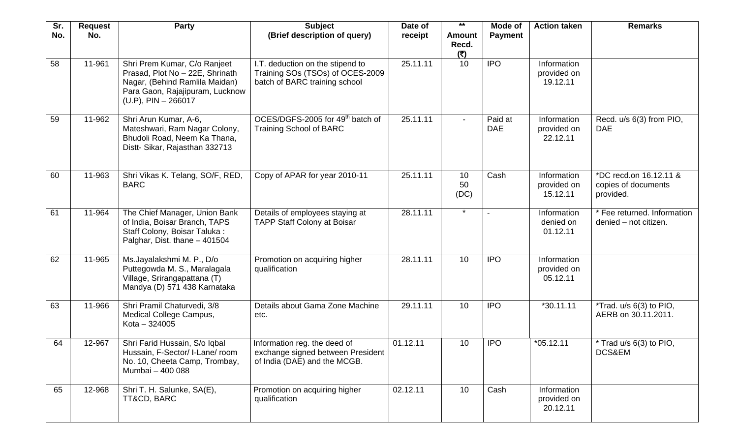| Sr. | <b>Request</b> | Party                                                                                                                                                          | <b>Subject</b>                                                                                        | Date of  | $***$                         | Mode of               | <b>Action taken</b>                    | <b>Remarks</b>                                             |
|-----|----------------|----------------------------------------------------------------------------------------------------------------------------------------------------------------|-------------------------------------------------------------------------------------------------------|----------|-------------------------------|-----------------------|----------------------------------------|------------------------------------------------------------|
| No. | No.            |                                                                                                                                                                | (Brief description of query)                                                                          | receipt  | <b>Amount</b><br>Recd.<br>(5) | <b>Payment</b>        |                                        |                                                            |
| 58  | 11-961         | Shri Prem Kumar, C/o Ranjeet<br>Prasad, Plot No - 22E, Shrinath<br>Nagar, (Behind Ramlila Maidan)<br>Para Gaon, Rajajipuram, Lucknow<br>$(U.P)$ , PIN - 266017 | I.T. deduction on the stipend to<br>Training SOs (TSOs) of OCES-2009<br>batch of BARC training school | 25.11.11 | 10                            | <b>IPO</b>            | Information<br>provided on<br>19.12.11 |                                                            |
| 59  | 11-962         | Shri Arun Kumar, A-6,<br>Mateshwari, Ram Nagar Colony,<br>Bhudoli Road, Neem Ka Thana,<br>Distt- Sikar, Rajasthan 332713                                       | OCES/DGFS-2005 for 49 <sup>th</sup> batch of<br><b>Training School of BARC</b>                        | 25.11.11 | $\blacksquare$                | Paid at<br><b>DAE</b> | Information<br>provided on<br>22.12.11 | Recd. u/s 6(3) from PIO,<br><b>DAE</b>                     |
| 60  | 11-963         | Shri Vikas K. Telang, SO/F, RED,<br><b>BARC</b>                                                                                                                | Copy of APAR for year 2010-11                                                                         | 25.11.11 | 10<br>50<br>(DC)              | Cash                  | Information<br>provided on<br>15.12.11 | *DC recd.on 16.12.11 &<br>copies of documents<br>provided. |
| 61  | 11-964         | The Chief Manager, Union Bank<br>of India, Boisar Branch, TAPS<br>Staff Colony, Boisar Taluka:<br>Palghar, Dist. thane - 401504                                | Details of employees staying at<br><b>TAPP Staff Colony at Boisar</b>                                 | 28.11.11 |                               |                       | Information<br>denied on<br>01.12.11   | * Fee returned. Information<br>denied - not citizen.       |
| 62  | 11-965         | Ms.Jayalakshmi M. P., D/o<br>Puttegowda M. S., Maralagala<br>Village, Srirangapattana (T)<br>Mandya (D) 571 438 Karnataka                                      | Promotion on acquiring higher<br>qualification                                                        | 28.11.11 | 10                            | <b>IPO</b>            | Information<br>provided on<br>05.12.11 |                                                            |
| 63  | 11-966         | Shri Pramil Chaturvedi, 3/8<br>Medical College Campus,<br>Kota - 324005                                                                                        | Details about Gama Zone Machine<br>etc.                                                               | 29.11.11 | 10                            | <b>IPO</b>            | $*30.11.11$                            | *Trad. u/s 6(3) to PIO,<br>AERB on 30.11.2011.             |
| 64  | 12-967         | Shri Farid Hussain, S/o Iqbal<br>Hussain, F-Sector/ I-Lane/ room<br>No. 10, Cheeta Camp, Trombay,<br>Mumbai - 400 088                                          | Information reg. the deed of<br>exchange signed between President<br>of India (DAE) and the MCGB.     | 01.12.11 | 10                            | <b>IPO</b>            | $*05.12.11$                            | * Trad u/s 6(3) to PIO,<br>DCS&EM                          |
| 65  | 12-968         | Shri T. H. Salunke, SA(E),<br>TT&CD, BARC                                                                                                                      | Promotion on acquiring higher<br>qualification                                                        | 02.12.11 | 10                            | Cash                  | Information<br>provided on<br>20.12.11 |                                                            |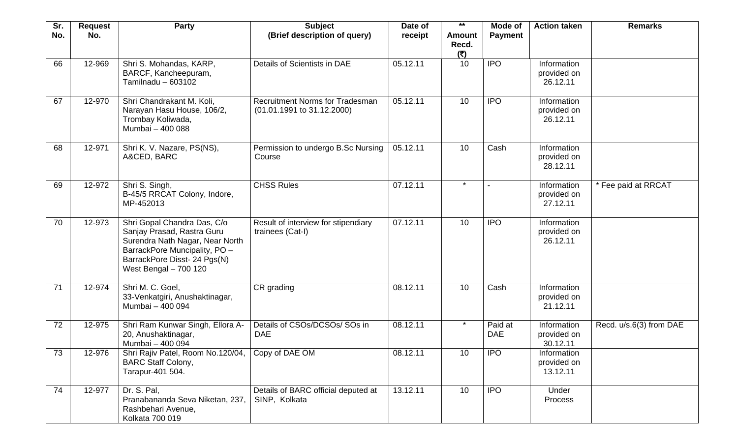| Sr.<br>No. | <b>Request</b><br>No. | Party                                                                                                                                                                                  | <b>Subject</b><br>(Brief description of query)                         | Date of<br>receipt | $***$<br><b>Amount</b><br>Recd. | Mode of<br><b>Payment</b> | <b>Action taken</b>                           | <b>Remarks</b>          |
|------------|-----------------------|----------------------------------------------------------------------------------------------------------------------------------------------------------------------------------------|------------------------------------------------------------------------|--------------------|---------------------------------|---------------------------|-----------------------------------------------|-------------------------|
| 66         | 12-969                | Shri S. Mohandas, KARP,<br>BARCF, Kancheepuram,<br>Tamilnadu - 603102                                                                                                                  | Details of Scientists in DAE                                           | 05.12.11           | (5)<br>10                       | <b>IPO</b>                | <b>Information</b><br>provided on<br>26.12.11 |                         |
| 67         | 12-970                | Shri Chandrakant M. Koli,<br>Narayan Hasu House, 106/2,<br>Trombay Koliwada,<br>Mumbai - 400 088                                                                                       | <b>Recruitment Norms for Tradesman</b><br>$(01.01.1991$ to 31.12.2000) | 05.12.11           | 10                              | <b>IPO</b>                | Information<br>provided on<br>26.12.11        |                         |
| 68         | 12-971                | Shri K. V. Nazare, PS(NS),<br>A&CED, BARC                                                                                                                                              | Permission to undergo B.Sc Nursing<br>Course                           | 05.12.11           | 10                              | Cash                      | Information<br>provided on<br>28.12.11        |                         |
| 69         | 12-972                | Shri S. Singh,<br>B-45/5 RRCAT Colony, Indore,<br>MP-452013                                                                                                                            | <b>CHSS Rules</b>                                                      | 07.12.11           | $\star$                         |                           | Information<br>provided on<br>27.12.11        | * Fee paid at RRCAT     |
| 70         | 12-973                | Shri Gopal Chandra Das, C/o<br>Sanjay Prasad, Rastra Guru<br>Surendra Nath Nagar, Near North<br>BarrackPore Muncipality, PO -<br>BarrackPore Disst- 24 Pgs(N)<br>West Bengal - 700 120 | Result of interview for stipendiary<br>trainees (Cat-I)                | 07.12.11           | 10                              | <b>IPO</b>                | Information<br>provided on<br>26.12.11        |                         |
| 71         | 12-974                | Shri M. C. Goel,<br>33-Venkatgiri, Anushaktinagar,<br>Mumbai - 400 094                                                                                                                 | CR grading                                                             | 08.12.11           | 10                              | Cash                      | Information<br>provided on<br>21.12.11        |                         |
| 72         | 12-975                | Shri Ram Kunwar Singh, Ellora A-<br>20, Anushaktinagar,<br>Mumbai - 400 094                                                                                                            | Details of CSOs/DCSOs/ SOs in<br><b>DAE</b>                            | 08.12.11           | $\star$                         | Paid at<br><b>DAE</b>     | Information<br>provided on<br>30.12.11        | Recd. u/s.6(3) from DAE |
| 73         | 12-976                | Shri Rajiv Patel, Room No.120/04,<br><b>BARC Staff Colony,</b><br>Tarapur-401 504.                                                                                                     | Copy of DAE OM                                                         | 08.12.11           | 10                              | <b>IPO</b>                | Information<br>provided on<br>13.12.11        |                         |
| 74         | 12-977                | Dr. S. Pal,<br>Pranabananda Seva Niketan, 237,<br>Rashbehari Avenue,<br>Kolkata 700 019                                                                                                | Details of BARC official deputed at<br>SINP, Kolkata                   | 13.12.11           | 10 <sup>°</sup>                 | <b>IPO</b>                | Under<br>Process                              |                         |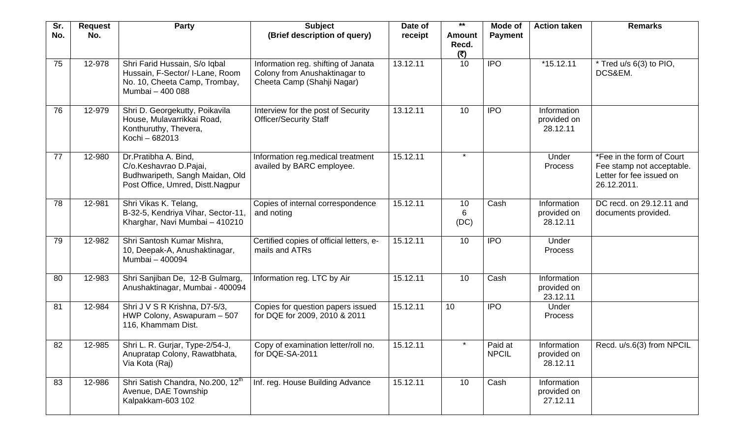| Sr.<br>No. | <b>Request</b><br>No. | Party                                                                                                                 | <b>Subject</b><br>(Brief description of query)                                                     | Date of<br>receipt | $***$<br><b>Amount</b><br>Recd. | Mode of<br><b>Payment</b> | <b>Action taken</b>                    | <b>Remarks</b>                                                                                    |
|------------|-----------------------|-----------------------------------------------------------------------------------------------------------------------|----------------------------------------------------------------------------------------------------|--------------------|---------------------------------|---------------------------|----------------------------------------|---------------------------------------------------------------------------------------------------|
| 75         | 12-978                | Shri Farid Hussain, S/o Iqbal<br>Hussain, F-Sector/ I-Lane, Room<br>No. 10, Cheeta Camp, Trombay,<br>Mumbai - 400 088 | Information reg. shifting of Janata<br>Colony from Anushaktinagar to<br>Cheeta Camp (Shahji Nagar) | 13.12.11           | (5)<br>10                       | <b>IPO</b>                | $*15.12.11$                            | * Tred u/s 6(3) to PIO,<br>DCS&EM.                                                                |
| 76         | 12-979                | Shri D. Georgekutty, Poikavila<br>House, Mulavarrikkai Road,<br>Konthuruthy, Thevera,<br>Kochi - 682013               | Interview for the post of Security<br><b>Officer/Security Staff</b>                                | 13.12.11           | 10                              | <b>IPO</b>                | Information<br>provided on<br>28.12.11 |                                                                                                   |
| 77         | 12-980                | Dr.Pratibha A. Bind,<br>C/o.Keshavrao D.Pajai,<br>Budhwaripeth, Sangh Maidan, Old<br>Post Office, Umred, Distt.Nagpur | Information reg.medical treatment<br>availed by BARC employee.                                     | 15.12.11           | $\star$                         |                           | Under<br>Process                       | *Fee in the form of Court<br>Fee stamp not acceptable.<br>Letter for fee issued on<br>26.12.2011. |
| 78         | 12-981                | Shri Vikas K. Telang,<br>B-32-5, Kendriya Vihar, Sector-11,<br>Kharghar, Navi Mumbai - 410210                         | Copies of internal correspondence<br>and noting                                                    | 15.12.11           | 10<br>6<br>(DC)                 | Cash                      | Information<br>provided on<br>28.12.11 | DC recd. on 29.12.11 and<br>documents provided.                                                   |
| 79         | 12-982                | Shri Santosh Kumar Mishra,<br>10, Deepak-A, Anushaktinagar,<br>Mumbai - 400094                                        | Certified copies of official letters, e-<br>mails and ATRs                                         | 15.12.11           | 10                              | <b>IPO</b>                | Under<br>Process                       |                                                                                                   |
| 80         | 12-983                | Shri Sanjiban De, 12-B Gulmarg,<br>Anushaktinagar, Mumbai - 400094                                                    | Information reg. LTC by Air                                                                        | 15.12.11           | 10                              | Cash                      | Information<br>provided on<br>23.12.11 |                                                                                                   |
| 81         | 12-984                | Shri J V S R Krishna, D7-5/3,<br>HWP Colony, Aswapuram - 507<br>116, Khammam Dist.                                    | Copies for question papers issued<br>for DQE for 2009, 2010 & 2011                                 | 15.12.11           | 10                              | <b>IPO</b>                | Under<br>Process                       |                                                                                                   |
| 82         | 12-985                | Shri L. R. Gurjar, Type-2/54-J,<br>Anupratap Colony, Rawatbhata,<br>Via Kota (Raj)                                    | Copy of examination letter/roll no.<br>for DQE-SA-2011                                             | 15.12.11           | $\star$                         | Paid at<br><b>NPCIL</b>   | Information<br>provided on<br>28.12.11 | Recd. u/s.6(3) from NPCIL                                                                         |
| 83         | 12-986                | Shri Satish Chandra, No.200, 12th<br>Avenue, DAE Township<br>Kalpakkam-603 102                                        | Inf. reg. House Building Advance                                                                   | 15.12.11           | 10                              | Cash                      | Information<br>provided on<br>27.12.11 |                                                                                                   |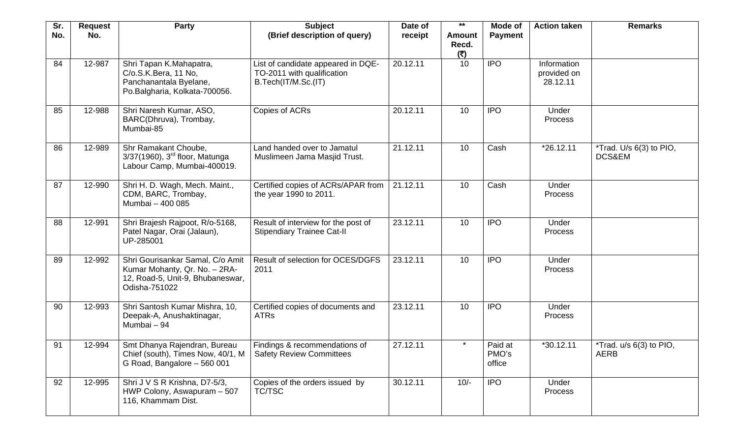| Sr.<br>No. | <b>Request</b><br>No. | Party                                                                                                                  | <b>Subject</b><br>(Brief description of query)                                          | Date of<br>receipt | $***$<br><b>Amount</b> | Mode of<br><b>Payment</b>  | <b>Action taken</b>                    | <b>Remarks</b>                           |
|------------|-----------------------|------------------------------------------------------------------------------------------------------------------------|-----------------------------------------------------------------------------------------|--------------------|------------------------|----------------------------|----------------------------------------|------------------------------------------|
|            |                       |                                                                                                                        |                                                                                         |                    | Recd.<br>(5)           |                            |                                        |                                          |
| 84         | 12-987                | Shri Tapan K.Mahapatra,<br>C/o.S.K.Bera, 11 No,<br>Panchanantala Byelane,<br>Po.Balgharia, Kolkata-700056.             | List of candidate appeared in DQE-<br>TO-2011 with qualification<br>B.Tech(IT/M.Sc.(IT) | 20.12.11           | 10                     | <b>IPO</b>                 | Information<br>provided on<br>28.12.11 |                                          |
| 85         | 12-988                | Shri Naresh Kumar, ASO,<br>BARC(Dhruva), Trombay,<br>Mumbai-85                                                         | Copies of ACRs                                                                          | 20.12.11           | 10                     | <b>IPO</b>                 | Under<br>Process                       |                                          |
| 86         | 12-989                | Shr Ramakant Choube,<br>3/37(1960), 3rd floor, Matunga<br>Labour Camp, Mumbai-400019.                                  | Land handed over to Jamatul<br>Muslimeen Jama Masjid Trust.                             | 21.12.11           | 10                     | Cash                       | *26.12.11                              | *Trad. U/s 6(3) to PIO,<br>DCS&EM        |
| 87         | 12-990                | Shri H. D. Wagh, Mech. Maint.,<br>CDM, BARC, Trombay,<br>Mumbai - 400 085                                              | Certified copies of ACRs/APAR from<br>the year 1990 to 2011.                            | 21.12.11           | 10                     | Cash                       | Under<br>Process                       |                                          |
| 88         | 12-991                | Shri Brajesh Rajpoot, R/o-5168,<br>Patel Nagar, Orai (Jalaun),<br>UP-285001                                            | Result of interview for the post of<br><b>Stipendiary Trainee Cat-II</b>                | 23.12.11           | 10                     | <b>IPO</b>                 | Under<br>Process                       |                                          |
| 89         | 12-992                | Shri Gourisankar Samal, C/o Amit<br>Kumar Mohanty, Qr. No. - 2RA-<br>12, Road-5, Unit-9, Bhubaneswar,<br>Odisha-751022 | Result of selection for OCES/DGFS<br>2011                                               | 23.12.11           | 10                     | <b>IPO</b>                 | Under<br>Process                       |                                          |
| 90         | 12-993                | Shri Santosh Kumar Mishra, 10,<br>Deepak-A, Anushaktinagar,<br>Mumbai - 94                                             | Certified copies of documents and<br><b>ATRs</b>                                        | 23.12.11           | 10                     | <b>IPO</b>                 | Under<br>Process                       |                                          |
| 91         | 12-994                | Smt Dhanya Rajendran, Bureau<br>Chief (south), Times Now, 40/1, M<br>G Road, Bangalore - 560 001                       | Findings & recommendations of<br><b>Safety Review Committees</b>                        | 27.12.11           | $\star$                | Paid at<br>PMO's<br>office | *30.12.11                              | *Trad. $u/s$ 6(3) to PIO,<br><b>AERB</b> |
| 92         | 12-995                | Shri J V S R Krishna, D7-5/3,<br>HWP Colony, Aswapuram - 507<br>116, Khammam Dist.                                     | Copies of the orders issued by<br>TC/TSC                                                | 30.12.11           | $10/-$                 | <b>IPO</b>                 | <b>Under</b><br>Process                |                                          |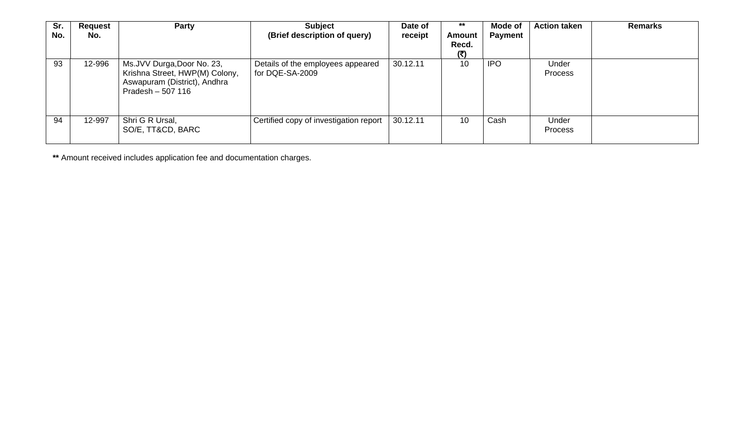| Sr.<br>No. | <b>Request</b><br>No. | Party                                                                                                              | <b>Subject</b><br>(Brief description of query)       | Date of<br>receipt | $***$<br>Amount<br>Recd.<br>(5) | Mode of<br><b>Payment</b> | <b>Action taken</b> | <b>Remarks</b> |
|------------|-----------------------|--------------------------------------------------------------------------------------------------------------------|------------------------------------------------------|--------------------|---------------------------------|---------------------------|---------------------|----------------|
| 93         | 12-996                | Ms.JVV Durga, Door No. 23,<br>Krishna Street, HWP(M) Colony,<br>Aswapuram (District), Andhra<br>Pradesh $-507$ 116 | Details of the employees appeared<br>for DQE-SA-2009 | 30.12.11           | 10                              | <b>IPO</b>                | Under<br>Process    |                |
| 94         | 12-997                | Shri G R Ursal,<br>SO/E, TT&CD, BARC                                                                               | Certified copy of investigation report               | 30.12.11           | 10                              | Cash                      | Under<br>Process    |                |

**\*\*** Amount received includes application fee and documentation charges.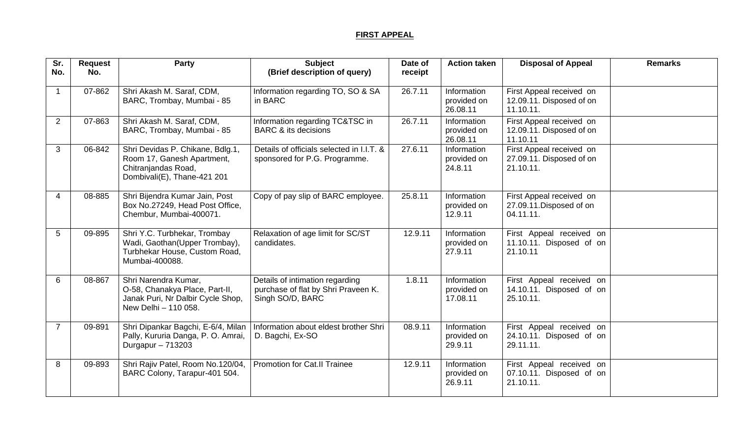## **FIRST APPEAL**

| Sr.<br>No.     | <b>Request</b><br>No. | <b>Party</b>                                                                                                         | <b>Subject</b><br>(Brief description of query)                                             | Date of<br>receipt | <b>Action taken</b>                          | <b>Disposal of Appeal</b>                                         | <b>Remarks</b> |
|----------------|-----------------------|----------------------------------------------------------------------------------------------------------------------|--------------------------------------------------------------------------------------------|--------------------|----------------------------------------------|-------------------------------------------------------------------|----------------|
|                | 07-862                | Shri Akash M. Saraf, CDM,<br>BARC, Trombay, Mumbai - 85                                                              | Information regarding TO, SO & SA<br>in BARC                                               | 26.7.11            | Information<br>provided on<br>26.08.11       | First Appeal received on<br>12.09.11. Disposed of on<br>11.10.11. |                |
| 2              | 07-863                | Shri Akash M. Saraf, CDM,<br>BARC, Trombay, Mumbai - 85                                                              | Information regarding TC&TSC in<br><b>BARC &amp; its decisions</b>                         | 26.7.11            | Information<br>provided on<br>26.08.11       | First Appeal received on<br>12.09.11. Disposed of on<br>11.10.11  |                |
| 3              | 06-842                | Shri Devidas P. Chikane, Bdlg.1,<br>Room 17, Ganesh Apartment,<br>Chitranjandas Road,<br>Dombivali(E), Thane-421 201 | Details of officials selected in I.I.T. &<br>sponsored for P.G. Programme.                 | 27.6.11            | <b>Information</b><br>provided on<br>24.8.11 | First Appeal received on<br>27.09.11. Disposed of on<br>21.10.11. |                |
| Δ              | 08-885                | Shri Bijendra Kumar Jain, Post<br>Box No.27249, Head Post Office,<br>Chembur, Mumbai-400071.                         | Copy of pay slip of BARC employee.                                                         | 25.8.11            | Information<br>provided on<br>12.9.11        | First Appeal received on<br>27.09.11. Disposed of on<br>04.11.11. |                |
| 5              | 09-895                | Shri Y.C. Turbhekar, Trombay<br>Wadi, Gaothan(Upper Trombay),<br>Turbhekar House, Custom Road,<br>Mumbai-400088.     | Relaxation of age limit for SC/ST<br>candidates.                                           | 12.9.11            | Information<br>provided on<br>27.9.11        | First Appeal received on<br>11.10.11. Disposed of on<br>21.10.11  |                |
| 6              | 08-867                | Shri Narendra Kumar,<br>O-58, Chanakya Place, Part-II,<br>Janak Puri, Nr Dalbir Cycle Shop,<br>New Delhi - 110 058.  | Details of intimation regarding<br>purchase of flat by Shri Praveen K.<br>Singh SO/D, BARC | 1.8.11             | Information<br>provided on<br>17.08.11       | First Appeal received on<br>14.10.11. Disposed of on<br>25.10.11. |                |
| $\overline{7}$ | 09-891                | Shri Dipankar Bagchi, E-6/4, Milan<br>Pally, Kururia Danga, P. O. Amrai,<br>Durgapur $-713203$                       | Information about eldest brother Shri<br>D. Bagchi, Ex-SO                                  | 08.9.11            | Information<br>provided on<br>29.9.11        | First Appeal received on<br>24.10.11. Disposed of on<br>29.11.11. |                |
| 8              | 09-893                | Shri Rajiv Patel, Room No.120/04,<br>BARC Colony, Tarapur-401 504.                                                   | <b>Promotion for Cat.II Trainee</b>                                                        | 12.9.11            | Information<br>provided on<br>26.9.11        | First Appeal received on<br>07.10.11. Disposed of on<br>21.10.11. |                |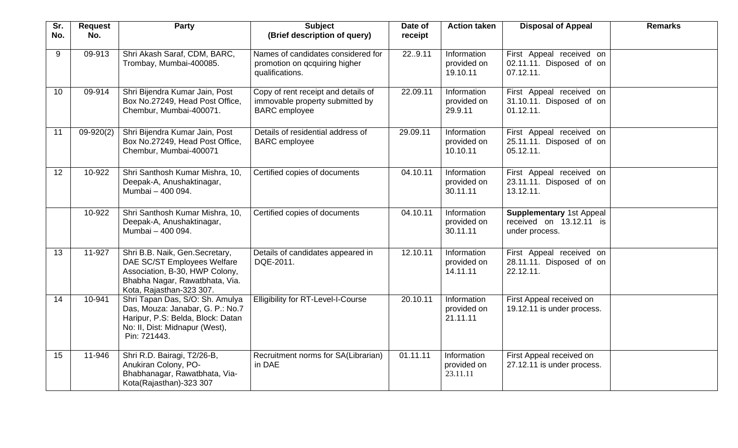| Sr.<br>No. | <b>Request</b><br>No. | Party                                                                                                                                                         | <b>Subject</b><br>(Brief description of query)                                                 | Date of<br>receipt | <b>Action taken</b>                    | <b>Disposal of Appeal</b>                                                    | <b>Remarks</b> |
|------------|-----------------------|---------------------------------------------------------------------------------------------------------------------------------------------------------------|------------------------------------------------------------------------------------------------|--------------------|----------------------------------------|------------------------------------------------------------------------------|----------------|
| 9          | 09-913                | Shri Akash Saraf, CDM, BARC,<br>Trombay, Mumbai-400085.                                                                                                       | Names of candidates considered for<br>promotion on gcquiring higher<br>qualifications.         | 229.11             | Information<br>provided on<br>19.10.11 | First Appeal received on<br>02.11.11. Disposed of on<br>07.12.11.            |                |
| 10         | 09-914                | Shri Bijendra Kumar Jain, Post<br>Box No.27249, Head Post Office,<br>Chembur, Mumbai-400071.                                                                  | Copy of rent receipt and details of<br>immovable property submitted by<br><b>BARC</b> employee | 22.09.11           | Information<br>provided on<br>29.9.11  | First Appeal received on<br>31.10.11. Disposed of on<br>01.12.11.            |                |
| 11         | $09-920(2)$           | Shri Bijendra Kumar Jain, Post<br>Box No.27249, Head Post Office,<br>Chembur, Mumbai-400071                                                                   | Details of residential address of<br><b>BARC</b> employee                                      | 29.09.11           | Information<br>provided on<br>10.10.11 | First Appeal received on<br>25.11.11. Disposed of on<br>05.12.11.            |                |
| 12         | 10-922                | Shri Santhosh Kumar Mishra, 10,<br>Deepak-A, Anushaktinagar,<br>Mumbai - 400 094.                                                                             | Certified copies of documents                                                                  | 04.10.11           | Information<br>provided on<br>30.11.11 | First Appeal received on<br>23.11.11. Disposed of on<br>13.12.11.            |                |
|            | 10-922                | Shri Santhosh Kumar Mishra, 10,<br>Deepak-A, Anushaktinagar,<br>Mumbai - 400 094.                                                                             | Certified copies of documents                                                                  | 04.10.11           | Information<br>provided on<br>30.11.11 | <b>Supplementary 1st Appeal</b><br>received on 13.12.11 is<br>under process. |                |
| 13         | 11-927                | Shri B.B. Naik, Gen.Secretary,<br>DAE SC/ST Employees Welfare<br>Association, B-30, HWP Colony,<br>Bhabha Nagar, Rawatbhata, Via.<br>Kota, Rajasthan-323 307. | Details of candidates appeared in<br>DQE-2011.                                                 | 12.10.11           | Information<br>provided on<br>14.11.11 | First Appeal received on<br>28.11.11. Disposed of on<br>22.12.11.            |                |
| 14         | 10-941                | Shri Tapan Das, S/O: Sh. Amulya<br>Das, Mouza: Janabar, G. P.: No.7<br>Haripur, P.S: Belda, Block: Datan<br>No: II, Dist: Midnapur (West),<br>Pin: 721443.    | <b>Elligibility for RT-Level-I-Course</b>                                                      | 20.10.11           | Information<br>provided on<br>21.11.11 | First Appeal received on<br>19.12.11 is under process.                       |                |
| 15         | 11-946                | Shri R.D. Bairagi, T2/26-B,<br>Anukiran Colony, PO-<br>Bhabhanagar, Rawatbhata, Via-<br>Kota(Rajasthan)-323 307                                               | Recruitment norms for SA(Librarian)<br>in DAE                                                  | 01.11.11           | Information<br>provided on<br>23.11.11 | First Appeal received on<br>27.12.11 is under process.                       |                |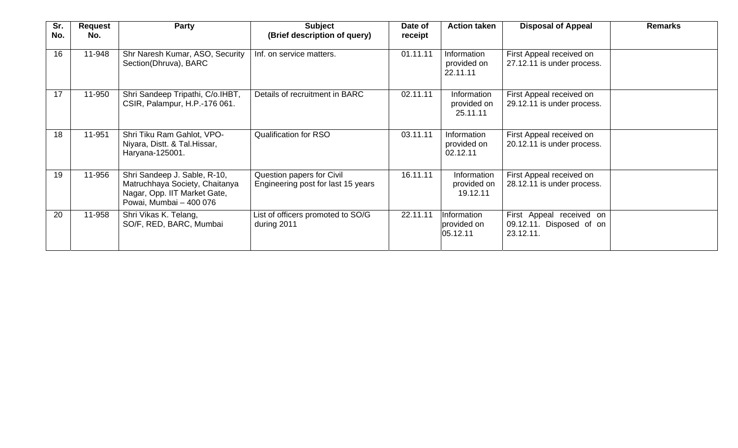| Sr.<br>No. | <b>Request</b><br>No. | Party                                                                                                                     | <b>Subject</b><br>(Brief description of query)                  | Date of<br>receipt | <b>Action taken</b>                    | <b>Disposal of Appeal</b>                                         | <b>Remarks</b> |
|------------|-----------------------|---------------------------------------------------------------------------------------------------------------------------|-----------------------------------------------------------------|--------------------|----------------------------------------|-------------------------------------------------------------------|----------------|
| 16         | 11-948                | Shr Naresh Kumar, ASO, Security<br>Section(Dhruva), BARC                                                                  | Inf. on service matters.                                        | 01.11.11           | Information<br>provided on<br>22.11.11 | First Appeal received on<br>27.12.11 is under process.            |                |
| 17         | 11-950                | Shri Sandeep Tripathi, C/o.IHBT,<br>CSIR, Palampur, H.P.-176 061.                                                         | Details of recruitment in BARC                                  | 02.11.11           | Information<br>provided on<br>25.11.11 | First Appeal received on<br>29.12.11 is under process.            |                |
| 18         | 11-951                | Shri Tiku Ram Gahlot, VPO-<br>Niyara, Distt. & Tal. Hissar,<br>Haryana-125001.                                            | <b>Qualification for RSO</b>                                    | 03.11.11           | Information<br>provided on<br>02.12.11 | First Appeal received on<br>20.12.11 is under process.            |                |
| 19         | 11-956                | Shri Sandeep J. Sable, R-10,<br>Matruchhaya Society, Chaitanya<br>Nagar, Opp. IIT Market Gate,<br>Powai, Mumbai - 400 076 | Question papers for Civil<br>Engineering post for last 15 years | 16.11.11           | Information<br>provided on<br>19.12.11 | First Appeal received on<br>28.12.11 is under process.            |                |
| 20         | 11-958                | Shri Vikas K. Telang,<br>SO/F, RED, BARC, Mumbai                                                                          | List of officers promoted to SO/G<br>during 2011                | 22.11.11           | Information<br>provided on<br>05.12.11 | First Appeal received on<br>09.12.11. Disposed of on<br>23.12.11. |                |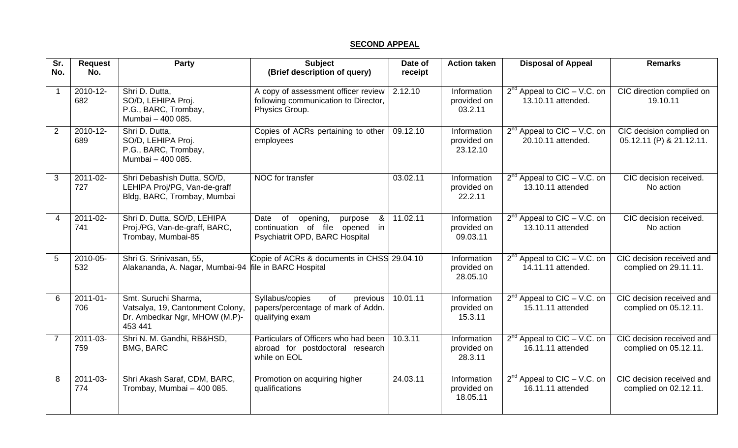## **SECOND APPEAL**

| Sr.<br>No.     | <b>Request</b><br>No. | Party                                                                                                | <b>Subject</b><br>(Brief description of query)                                                                                      | Date of<br>receipt | <b>Action taken</b>                    | <b>Disposal of Appeal</b>                                           | <b>Remarks</b>                                       |
|----------------|-----------------------|------------------------------------------------------------------------------------------------------|-------------------------------------------------------------------------------------------------------------------------------------|--------------------|----------------------------------------|---------------------------------------------------------------------|------------------------------------------------------|
|                |                       |                                                                                                      |                                                                                                                                     |                    |                                        |                                                                     |                                                      |
|                | 2010-12-<br>682       | Shri D. Dutta,<br>SO/D, LEHIPA Proj.<br>P.G., BARC, Trombay,<br>Mumbai - 400 085.                    | A copy of assessment officer review<br>following communication to Director,<br>Physics Group.                                       | 2.12.10            | Information<br>provided on<br>03.2.11  | $2^{nd}$ Appeal to CIC – V.C. on<br>13.10.11 attended.              | CIC direction complied on<br>19.10.11                |
| 2              | 2010-12-<br>689       | Shri D. Dutta,<br>SO/D, LEHIPA Proj.<br>P.G., BARC, Trombay,<br>Mumbai - 400 085.                    | Copies of ACRs pertaining to other<br>employees                                                                                     | 09.12.10           | Information<br>provided on<br>23.12.10 | $2^{nd}$ Appeal to CIC – V.C. on<br>20.10.11 attended.              | CIC decision complied on<br>05.12.11 (P) & 21.12.11. |
| 3              | 2011-02-<br>727       | Shri Debashish Dutta, SO/D,<br>LEHIPA Proj/PG, Van-de-graff<br>Bldg, BARC, Trombay, Mumbai           | NOC for transfer                                                                                                                    | 03.02.11           | Information<br>provided on<br>22.2.11  | $2^{nd}$ Appeal to CIC – V.C. on<br>13.10.11 attended               | CIC decision received.<br>No action                  |
| 4              | $2011 - 02$<br>741    | Shri D. Dutta, SO/D, LEHIPA<br>Proj./PG, Van-de-graff, BARC,<br>Trombay, Mumbai-85                   | $\overline{\mathbf{g}}$<br>of<br>Date<br>opening,<br>purpose<br>continuation of file opened<br>in<br>Psychiatrit OPD, BARC Hospital | 11.02.11           | Information<br>provided on<br>09.03.11 | $2^{nd}$ Appeal to CIC – V.C. on<br>13.10.11 attended               | CIC decision received.<br>No action                  |
| 5              | 2010-05-<br>532       | Shri G. Srinivasan, 55,<br>Alakananda, A. Nagar, Mumbai-94 file in BARC Hospital                     | Copie of ACRs & documents in CHSS 29.04.10                                                                                          |                    | Information<br>provided on<br>28.05.10 | $2^{nd}$ Appeal to $\overline{CIC} - V.C.$ on<br>14.11.11 attended. | CIC decision received and<br>complied on 29.11.11.   |
| 6              | $2011 - 01 -$<br>706  | Smt. Suruchi Sharma,<br>Vatsalya, 19, Cantonment Colony,<br>Dr. Ambedkar Ngr, MHOW (M.P)-<br>453 441 | of<br>Syllabus/copies<br>previous<br>papers/percentage of mark of Addn.<br>qualifying exam                                          | 10.01.11           | Information<br>provided on<br>15.3.11  | $2^{nd}$ Appeal to CIC – V.C. on<br>15.11.11 attended               | CIC decision received and<br>complied on 05.12.11.   |
| $\overline{7}$ | 2011-03-<br>759       | Shri N. M. Gandhi, RB&HSD,<br>BMG, BARC                                                              | Particulars of Officers who had been<br>abroad for postdoctoral research<br>while on EOL                                            | 10.3.11            | Information<br>provided on<br>28.3.11  | $2^{nd}$ Appeal to CIC – V.C. on<br>16.11.11 attended               | CIC decision received and<br>complied on 05.12.11.   |
| 8              | 2011-03-<br>774       | Shri Akash Saraf, CDM, BARC,<br>Trombay, Mumbai - 400 085.                                           | Promotion on acquiring higher<br>qualifications                                                                                     | 24.03.11           | Information<br>provided on<br>18.05.11 | $2^{nd}$ Appeal to CIC – V.C. on<br>16.11.11 attended               | CIC decision received and<br>complied on 02.12.11.   |